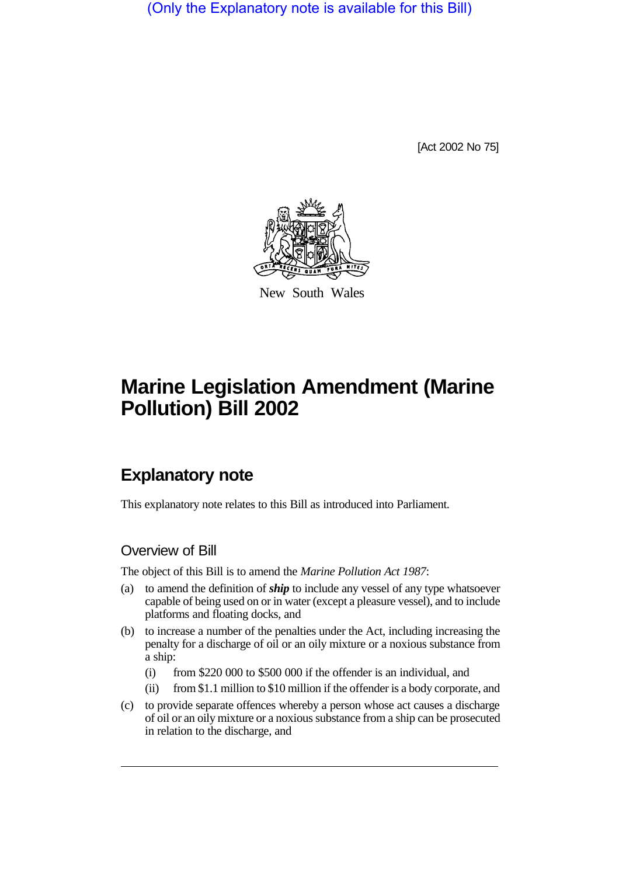(Only the Explanatory note is available for this Bill)

[Act 2002 No 75]



New South Wales

# **Marine Legislation Amendment (Marine Pollution) Bill 2002**

## **Explanatory note**

This explanatory note relates to this Bill as introduced into Parliament.

## Overview of Bill

The object of this Bill is to amend the *Marine Pollution Act 1987*:

- (a) to amend the definition of *ship* to include any vessel of any type whatsoever capable of being used on or in water (except a pleasure vessel), and to include platforms and floating docks, and
- (b) to increase a number of the penalties under the Act, including increasing the penalty for a discharge of oil or an oily mixture or a noxious substance from a ship:
	- (i) from \$220 000 to \$500 000 if the offender is an individual, and
	- (ii) from \$1.1 million to \$10 million if the offender is a body corporate, and
- (c) to provide separate offences whereby a person whose act causes a discharge of oil or an oily mixture or a noxious substance from a ship can be prosecuted in relation to the discharge, and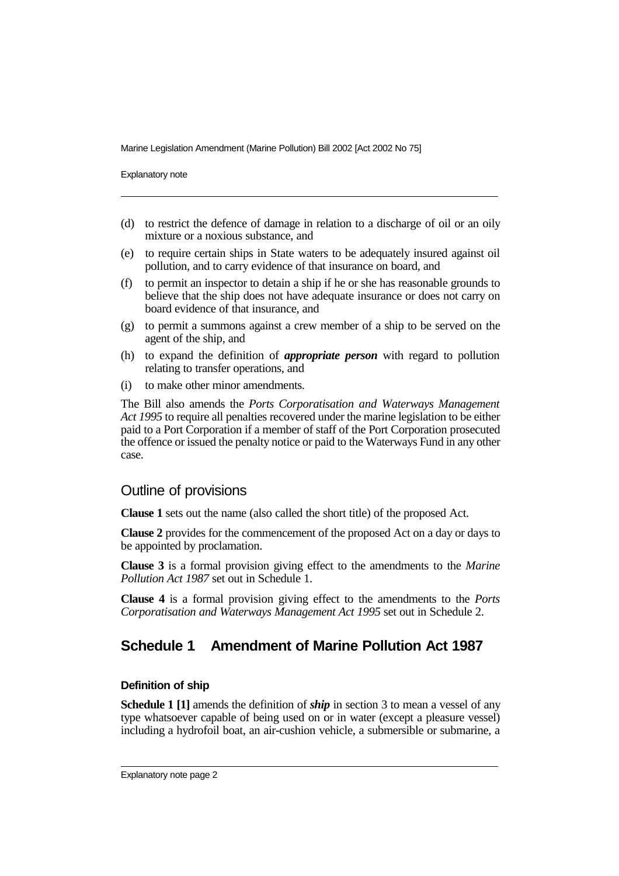Explanatory note

- (d) to restrict the defence of damage in relation to a discharge of oil or an oily mixture or a noxious substance, and
- (e) to require certain ships in State waters to be adequately insured against oil pollution, and to carry evidence of that insurance on board, and
- (f) to permit an inspector to detain a ship if he or she has reasonable grounds to believe that the ship does not have adequate insurance or does not carry on board evidence of that insurance, and
- (g) to permit a summons against a crew member of a ship to be served on the agent of the ship, and
- (h) to expand the definition of *appropriate person* with regard to pollution relating to transfer operations, and
- (i) to make other minor amendments.

The Bill also amends the *Ports Corporatisation and Waterways Management Act 1995* to require all penalties recovered under the marine legislation to be either paid to a Port Corporation if a member of staff of the Port Corporation prosecuted the offence or issued the penalty notice or paid to the Waterways Fund in any other case.

### Outline of provisions

**Clause 1** sets out the name (also called the short title) of the proposed Act.

**Clause 2** provides for the commencement of the proposed Act on a day or days to be appointed by proclamation.

**Clause 3** is a formal provision giving effect to the amendments to the *Marine Pollution Act 1987* set out in Schedule 1.

**Clause 4** is a formal provision giving effect to the amendments to the *Ports Corporatisation and Waterways Management Act 1995* set out in Schedule 2.

## **Schedule 1 Amendment of Marine Pollution Act 1987**

#### **Definition of ship**

**Schedule 1 [1]** amends the definition of *ship* in section 3 to mean a vessel of any type whatsoever capable of being used on or in water (except a pleasure vessel) including a hydrofoil boat, an air-cushion vehicle, a submersible or submarine, a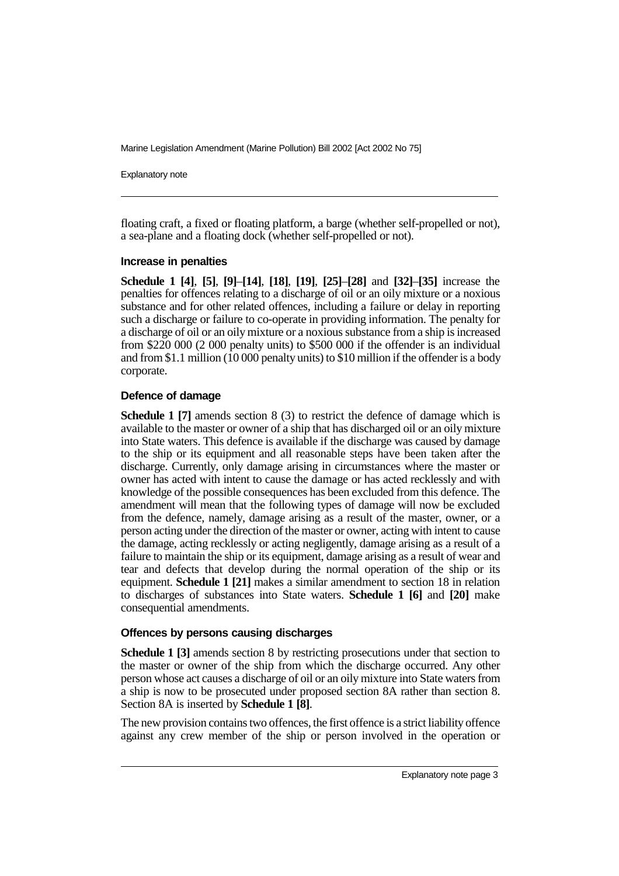Explanatory note

floating craft, a fixed or floating platform, a barge (whether self-propelled or not), a sea-plane and a floating dock (whether self-propelled or not).

#### **Increase in penalties**

**Schedule 1 [4]**, **[5]**, **[9]**–**[14]**, **[18]**, **[19]**, **[25]**–**[28]** and **[32]**–**[35]** increase the penalties for offences relating to a discharge of oil or an oily mixture or a noxious substance and for other related offences, including a failure or delay in reporting such a discharge or failure to co-operate in providing information. The penalty for a discharge of oil or an oily mixture or a noxious substance from a ship is increased from \$220 000 (2 000 penalty units) to \$500 000 if the offender is an individual and from \$1.1 million ( $10000$  penalty units) to \$10 million if the offender is a body corporate.

#### **Defence of damage**

**Schedule 1 [7]** amends section 8 (3) to restrict the defence of damage which is available to the master or owner of a ship that has discharged oil or an oily mixture into State waters. This defence is available if the discharge was caused by damage to the ship or its equipment and all reasonable steps have been taken after the discharge. Currently, only damage arising in circumstances where the master or owner has acted with intent to cause the damage or has acted recklessly and with knowledge of the possible consequences has been excluded from this defence. The amendment will mean that the following types of damage will now be excluded from the defence, namely, damage arising as a result of the master, owner, or a person acting under the direction of the master or owner, acting with intent to cause the damage, acting recklessly or acting negligently, damage arising as a result of a failure to maintain the ship or its equipment, damage arising as a result of wear and tear and defects that develop during the normal operation of the ship or its equipment. **Schedule 1 [21]** makes a similar amendment to section 18 in relation to discharges of substances into State waters. **Schedule 1 [6]** and **[20]** make consequential amendments.

#### **Offences by persons causing discharges**

**Schedule 1 [3]** amends section 8 by restricting prosecutions under that section to the master or owner of the ship from which the discharge occurred. Any other person whose act causes a discharge of oil or an oily mixture into State waters from a ship is now to be prosecuted under proposed section 8A rather than section 8. Section 8A is inserted by **Schedule 1 [8]**.

The new provision contains two offences, the first offence is a strict liability offence against any crew member of the ship or person involved in the operation or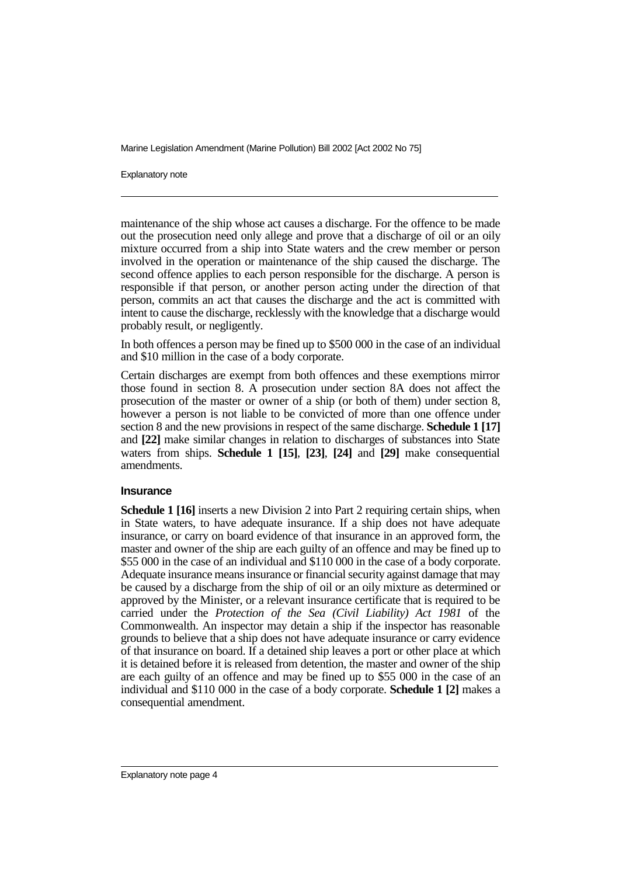Explanatory note

maintenance of the ship whose act causes a discharge. For the offence to be made out the prosecution need only allege and prove that a discharge of oil or an oily mixture occurred from a ship into State waters and the crew member or person involved in the operation or maintenance of the ship caused the discharge. The second offence applies to each person responsible for the discharge. A person is responsible if that person, or another person acting under the direction of that person, commits an act that causes the discharge and the act is committed with intent to cause the discharge, recklessly with the knowledge that a discharge would probably result, or negligently.

In both offences a person may be fined up to \$500 000 in the case of an individual and \$10 million in the case of a body corporate.

Certain discharges are exempt from both offences and these exemptions mirror those found in section 8. A prosecution under section 8A does not affect the prosecution of the master or owner of a ship (or both of them) under section 8, however a person is not liable to be convicted of more than one offence under section 8 and the new provisions in respect of the same discharge. **Schedule 1 [17]** and **[22]** make similar changes in relation to discharges of substances into State waters from ships. **Schedule 1 [15]**, **[23]**, **[24]** and **[29]** make consequential amendments.

#### **Insurance**

**Schedule 1 [16]** inserts a new Division 2 into Part 2 requiring certain ships, when in State waters, to have adequate insurance. If a ship does not have adequate insurance, or carry on board evidence of that insurance in an approved form, the master and owner of the ship are each guilty of an offence and may be fined up to \$55 000 in the case of an individual and \$110 000 in the case of a body corporate. Adequate insurance means insurance or financial security against damage that may be caused by a discharge from the ship of oil or an oily mixture as determined or approved by the Minister, or a relevant insurance certificate that is required to be carried under the *Protection of the Sea (Civil Liability) Act 1981* of the Commonwealth. An inspector may detain a ship if the inspector has reasonable grounds to believe that a ship does not have adequate insurance or carry evidence of that insurance on board. If a detained ship leaves a port or other place at which it is detained before it is released from detention, the master and owner of the ship are each guilty of an offence and may be fined up to \$55 000 in the case of an individual and \$110 000 in the case of a body corporate. **Schedule 1 [2]** makes a consequential amendment.